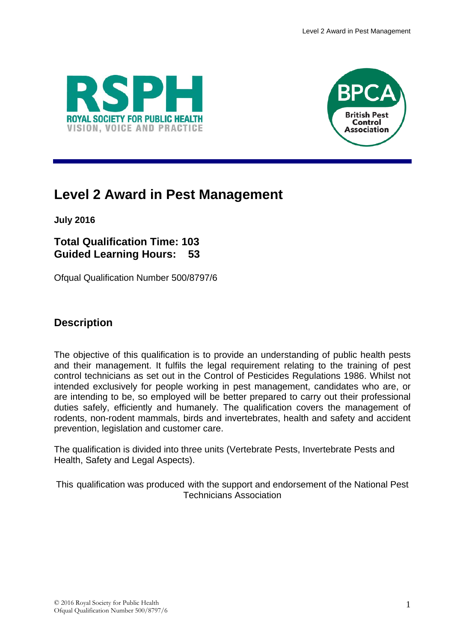



# **Level 2 Award in Pest Management**

**July 2016**

**Total Qualification Time: 103 Guided Learning Hours: 53**

Ofqual Qualification Number 500/8797/6

## **Description**

The objective of this qualification is to provide an understanding of public health pests and their management. It fulfils the legal requirement relating to the training of pest control technicians as set out in the Control of Pesticides Regulations 1986. Whilst not intended exclusively for people working in pest management, candidates who are, or are intending to be, so employed will be better prepared to carry out their professional duties safely, efficiently and humanely. The qualification covers the management of rodents, non-rodent mammals, birds and invertebrates, health and safety and accident prevention, legislation and customer care.

The qualification is divided into three units (Vertebrate Pests, Invertebrate Pests and Health, Safety and Legal Aspects).

This qualification was produced with the support and endorsement of the National Pest Technicians Association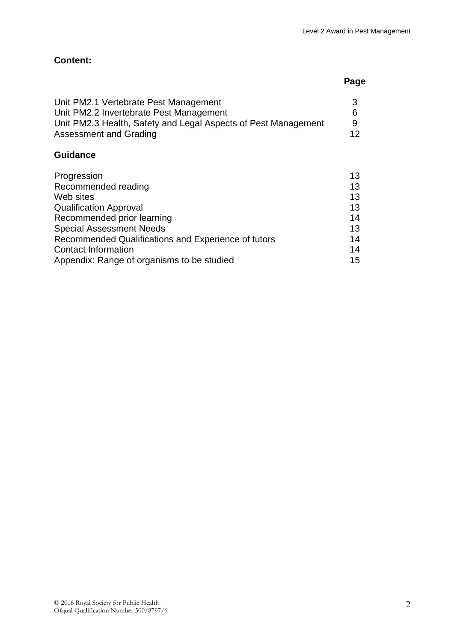| Unit PM2.1 Vertebrate Pest Management                          |    |
|----------------------------------------------------------------|----|
| Unit PM2.2 Invertebrate Pest Management                        |    |
| Unit PM2.3 Health, Safety and Legal Aspects of Pest Management | Q  |
| Assessment and Grading                                         | 12 |

### **Guidance**

| Progression                                         | 13 |
|-----------------------------------------------------|----|
| Recommended reading                                 | 13 |
| Web sites                                           | 13 |
| <b>Qualification Approval</b>                       | 13 |
| Recommended prior learning                          | 14 |
| <b>Special Assessment Needs</b>                     | 13 |
| Recommended Qualifications and Experience of tutors | 14 |
| <b>Contact Information</b>                          | 14 |
| Appendix: Range of organisms to be studied          | 15 |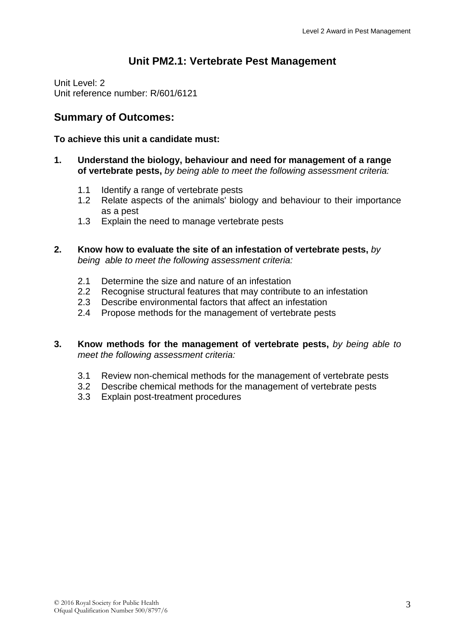## **Unit PM2.1: Vertebrate Pest Management**

Unit Level: 2 Unit reference number: R/601/6121

## **Summary of Outcomes:**

#### **To achieve this unit a candidate must:**

- **1. Understand the biology, behaviour and need for management of a range of vertebrate pests,** *by being able to meet the following assessment criteria:*
	- 1.1 Identify a range of vertebrate pests
	- 1.2 Relate aspects of the animals' biology and behaviour to their importance as a pest
	- 1.3 Explain the need to manage vertebrate pests
- **2. Know how to evaluate the site of an infestation of vertebrate pests,** *by being able to meet the following assessment criteria:*
	- 2.1 Determine the size and nature of an infestation
	- 2.2 Recognise structural features that may contribute to an infestation
	- 2.3 Describe environmental factors that affect an infestation
	- 2.4 Propose methods for the management of vertebrate pests
- **3. Know methods for the management of vertebrate pests,** *by being able to meet the following assessment criteria:*
	- 3.1 Review non-chemical methods for the management of vertebrate pests
	- 3.2 Describe chemical methods for the management of vertebrate pests
	- 3.3 Explain post-treatment procedures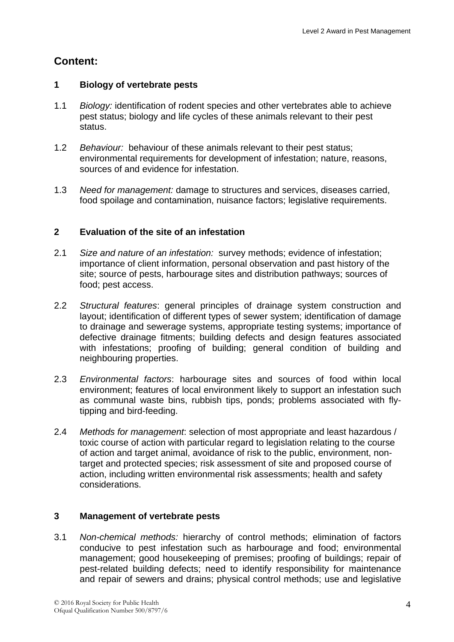#### **1 Biology of vertebrate pests**

- 1.1 *Biology:* identification of rodent species and other vertebrates able to achieve pest status; biology and life cycles of these animals relevant to their pest status.
- 1.2 *Behaviour:* behaviour of these animals relevant to their pest status; environmental requirements for development of infestation; nature, reasons, sources of and evidence for infestation.
- 1.3 *Need for management:* damage to structures and services, diseases carried, food spoilage and contamination, nuisance factors; legislative requirements.

## **2 Evaluation of the site of an infestation**

- 2.1 *Size and nature of an infestation:* survey methods; evidence of infestation; importance of client information, personal observation and past history of the site; source of pests, harbourage sites and distribution pathways; sources of food; pest access.
- 2.2 *Structural features*: general principles of drainage system construction and layout; identification of different types of sewer system; identification of damage to drainage and sewerage systems, appropriate testing systems; importance of defective drainage fitments; building defects and design features associated with infestations; proofing of building; general condition of building and neighbouring properties.
- 2.3 *Environmental factors*: harbourage sites and sources of food within local environment; features of local environment likely to support an infestation such as communal waste bins, rubbish tips, ponds; problems associated with flytipping and bird-feeding.
- 2.4 *Methods for management*: selection of most appropriate and least hazardous / toxic course of action with particular regard to legislation relating to the course of action and target animal, avoidance of risk to the public, environment, nontarget and protected species; risk assessment of site and proposed course of action, including written environmental risk assessments; health and safety considerations.

## **3 Management of vertebrate pests**

3.1 *Non-chemical methods:* hierarchy of control methods; elimination of factors conducive to pest infestation such as harbourage and food; environmental management; good housekeeping of premises; proofing of buildings; repair of pest-related building defects; need to identify responsibility for maintenance and repair of sewers and drains; physical control methods; use and legislative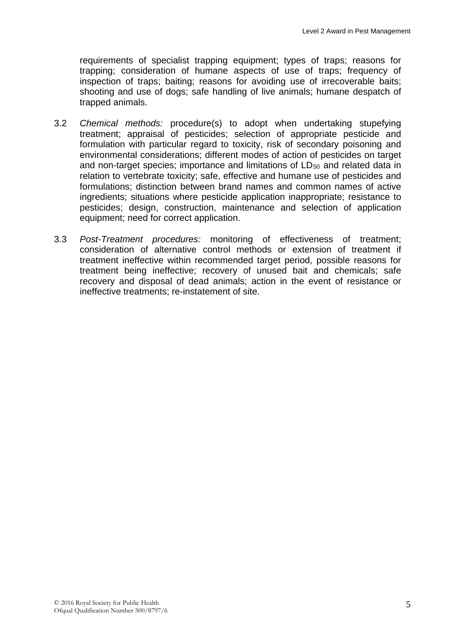requirements of specialist trapping equipment; types of traps; reasons for trapping; consideration of humane aspects of use of traps; frequency of inspection of traps; baiting; reasons for avoiding use of irrecoverable baits; shooting and use of dogs; safe handling of live animals; humane despatch of trapped animals.

- 3.2 *Chemical methods:* procedure(s) to adopt when undertaking stupefying treatment; appraisal of pesticides; selection of appropriate pesticide and formulation with particular regard to toxicity, risk of secondary poisoning and environmental considerations; different modes of action of pesticides on target and non-target species; importance and limitations of LD<sub>50</sub> and related data in relation to vertebrate toxicity; safe, effective and humane use of pesticides and formulations; distinction between brand names and common names of active ingredients; situations where pesticide application inappropriate; resistance to pesticides; design, construction, maintenance and selection of application equipment; need for correct application.
- 3.3 *Post-Treatment procedures:* monitoring of effectiveness of treatment; consideration of alternative control methods or extension of treatment if treatment ineffective within recommended target period, possible reasons for treatment being ineffective; recovery of unused bait and chemicals; safe recovery and disposal of dead animals; action in the event of resistance or ineffective treatments; re-instatement of site.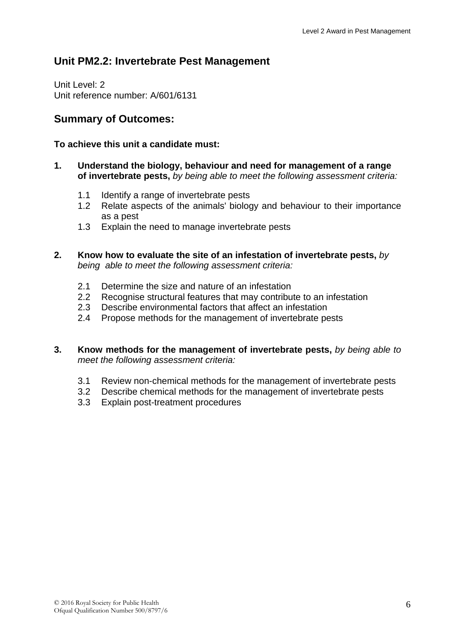## **Unit PM2.2: Invertebrate Pest Management**

Unit Level: 2 Unit reference number: A/601/6131

## **Summary of Outcomes:**

#### **To achieve this unit a candidate must:**

- **1. Understand the biology, behaviour and need for management of a range of invertebrate pests,** *by being able to meet the following assessment criteria:*
	- 1.1 Identify a range of invertebrate pests
	- 1.2 Relate aspects of the animals' biology and behaviour to their importance as a pest
	- 1.3 Explain the need to manage invertebrate pests
- **2. Know how to evaluate the site of an infestation of invertebrate pests,** *by being able to meet the following assessment criteria:*
	- 2.1 Determine the size and nature of an infestation
	- 2.2 Recognise structural features that may contribute to an infestation
	- 2.3 Describe environmental factors that affect an infestation
	- 2.4 Propose methods for the management of invertebrate pests
- **3. Know methods for the management of invertebrate pests,** *by being able to meet the following assessment criteria:*
	- 3.1 Review non-chemical methods for the management of invertebrate pests
	- 3.2 Describe chemical methods for the management of invertebrate pests
	- 3.3 Explain post-treatment procedures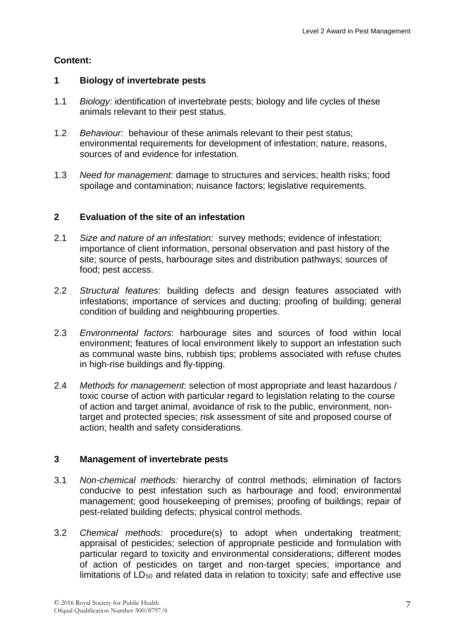#### **1 Biology of invertebrate pests**

- 1.1 *Biology:* identification of invertebrate pests; biology and life cycles of these animals relevant to their pest status.
- 1.2 *Behaviour:* behaviour of these animals relevant to their pest status; environmental requirements for development of infestation; nature, reasons, sources of and evidence for infestation.
- 1.3 *Need for management:* damage to structures and services; health risks; food spoilage and contamination; nuisance factors; legislative requirements.

#### **2 Evaluation of the site of an infestation**

- 2.1 *Size and nature of an infestation:* survey methods; evidence of infestation; importance of client information, personal observation and past history of the site; source of pests, harbourage sites and distribution pathways; sources of food; pest access.
- 2.2 *Structural features*: building defects and design features associated with infestations; importance of services and ducting; proofing of building; general condition of building and neighbouring properties.
- 2.3 *Environmental factors*: harbourage sites and sources of food within local environment; features of local environment likely to support an infestation such as communal waste bins, rubbish tips; problems associated with refuse chutes in high-rise buildings and fly-tipping.
- 2.4 *Methods for management*: selection of most appropriate and least hazardous / toxic course of action with particular regard to legislation relating to the course of action and target animal, avoidance of risk to the public, environment, nontarget and protected species; risk assessment of site and proposed course of action; health and safety considerations.

#### **3 Management of invertebrate pests**

- 3.1 *Non-chemical methods:* hierarchy of control methods; elimination of factors conducive to pest infestation such as harbourage and food; environmental management; good housekeeping of premises; proofing of buildings; repair of pest-related building defects; physical control methods.
- 3.2 *Chemical methods:* procedure(s) to adopt when undertaking treatment; appraisal of pesticides; selection of appropriate pesticide and formulation with particular regard to toxicity and environmental considerations; different modes of action of pesticides on target and non-target species; importance and limitations of  $LD_{50}$  and related data in relation to toxicity; safe and effective use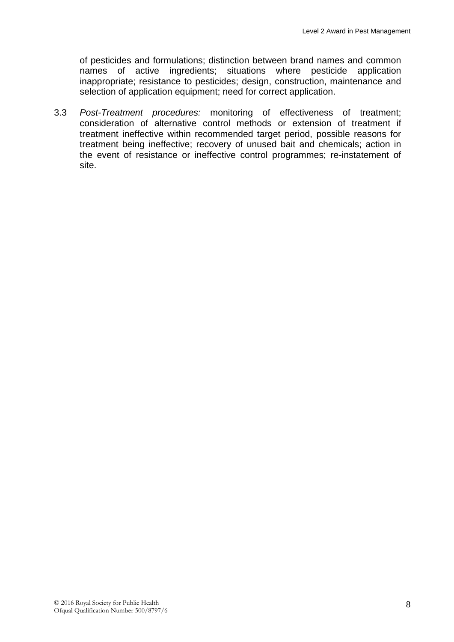of pesticides and formulations; distinction between brand names and common names of active ingredients; situations where pesticide application inappropriate; resistance to pesticides; design, construction, maintenance and selection of application equipment; need for correct application.

3.3 *Post-Treatment procedures:* monitoring of effectiveness of treatment; consideration of alternative control methods or extension of treatment if treatment ineffective within recommended target period, possible reasons for treatment being ineffective; recovery of unused bait and chemicals; action in the event of resistance or ineffective control programmes; re-instatement of site.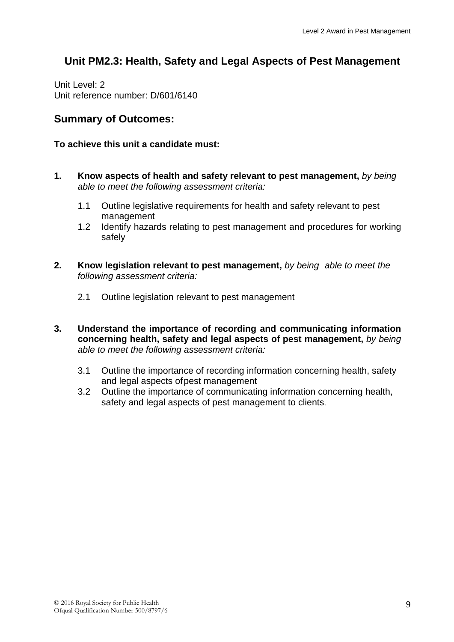## **Unit PM2.3: Health, Safety and Legal Aspects of Pest Management**

Unit Level: 2 Unit reference number: D/601/6140

### **Summary of Outcomes:**

#### **To achieve this unit a candidate must:**

- **1. Know aspects of health and safety relevant to pest management,** *by being able to meet the following assessment criteria:*
	- 1.1 Outline legislative requirements for health and safety relevant to pest management
	- 1.2 Identify hazards relating to pest management and procedures for working safely
- **2. Know legislation relevant to pest management,** *by being able to meet the following assessment criteria:*
	- 2.1 Outline legislation relevant to pest management
- **3. Understand the importance of recording and communicating information concerning health, safety and legal aspects of pest management,** *by being able to meet the following assessment criteria:*
	- 3.1 Outline the importance of recording information concerning health, safety and legal aspects ofpest management
	- 3.2 Outline the importance of communicating information concerning health, safety and legal aspects of pest management to clients.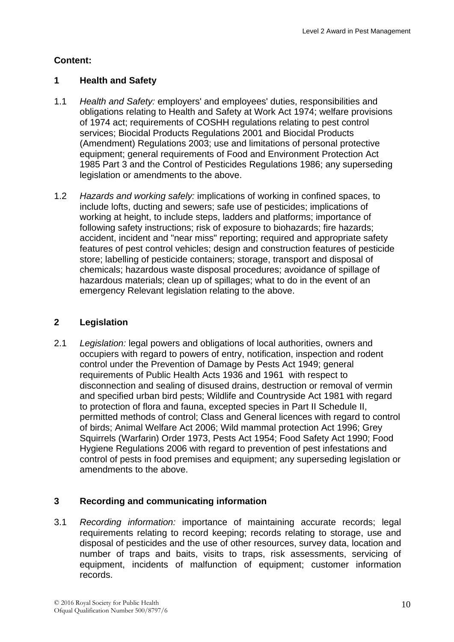#### **1 Health and Safety**

- 1.1 *Health and Safety:* employers' and employees' duties, responsibilities and obligations relating to Health and Safety at Work Act 1974; welfare provisions of 1974 act; requirements of COSHH regulations relating to pest control services; Biocidal Products Regulations 2001 and Biocidal Products (Amendment) Regulations 2003; use and limitations of personal protective equipment; general requirements of Food and Environment Protection Act 1985 Part 3 and the Control of Pesticides Regulations 1986; any superseding legislation or amendments to the above.
- 1.2 *Hazards and working safely:* implications of working in confined spaces, to include lofts, ducting and sewers; safe use of pesticides; implications of working at height, to include steps, ladders and platforms; importance of following safety instructions; risk of exposure to biohazards; fire hazards; accident, incident and "near miss" reporting; required and appropriate safety features of pest control vehicles; design and construction features of pesticide store; labelling of pesticide containers; storage, transport and disposal of chemicals; hazardous waste disposal procedures; avoidance of spillage of hazardous materials; clean up of spillages; what to do in the event of an emergency Relevant legislation relating to the above.

## **2 Legislation**

2.1 *Legislation:* legal powers and obligations of local authorities, owners and occupiers with regard to powers of entry, notification, inspection and rodent control under the Prevention of Damage by Pests Act 1949; general requirements of Public Health Acts 1936 and 1961 with respect to disconnection and sealing of disused drains, destruction or removal of vermin and specified urban bird pests; Wildlife and Countryside Act 1981 with regard to protection of flora and fauna, excepted species in Part II Schedule II, permitted methods of control; Class and General licences with regard to control of birds; Animal Welfare Act 2006; Wild mammal protection Act 1996; Grey Squirrels (Warfarin) Order 1973, Pests Act 1954; Food Safety Act 1990; Food Hygiene Regulations 2006 with regard to prevention of pest infestations and control of pests in food premises and equipment; any superseding legislation or amendments to the above.

#### **3 Recording and communicating information**

3.1 *Recording information:* importance of maintaining accurate records; legal requirements relating to record keeping; records relating to storage, use and disposal of pesticides and the use of other resources, survey data, location and number of traps and baits, visits to traps, risk assessments, servicing of equipment, incidents of malfunction of equipment; customer information records.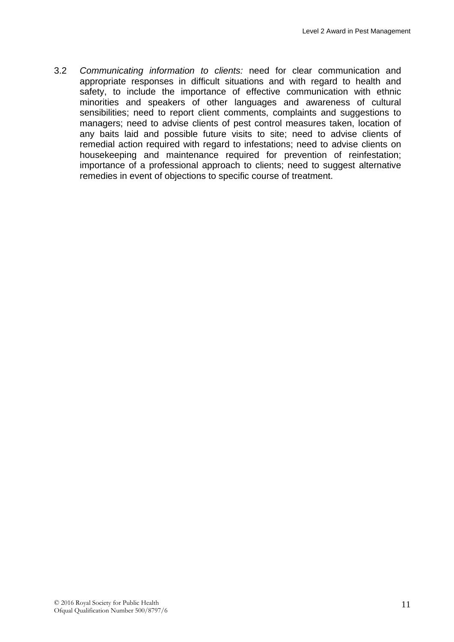3.2 *Communicating information to clients:* need for clear communication and appropriate responses in difficult situations and with regard to health and safety, to include the importance of effective communication with ethnic minorities and speakers of other languages and awareness of cultural sensibilities; need to report client comments, complaints and suggestions to managers; need to advise clients of pest control measures taken, location of any baits laid and possible future visits to site; need to advise clients of remedial action required with regard to infestations; need to advise clients on housekeeping and maintenance required for prevention of reinfestation; importance of a professional approach to clients; need to suggest alternative remedies in event of objections to specific course of treatment.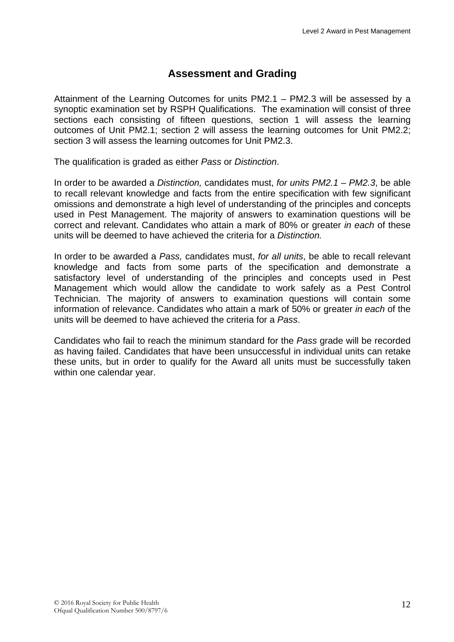## **Assessment and Grading**

Attainment of the Learning Outcomes for units PM2.1 – PM2.3 will be assessed by a synoptic examination set by RSPH Qualifications. The examination will consist of three sections each consisting of fifteen questions, section 1 will assess the learning outcomes of Unit PM2.1; section 2 will assess the learning outcomes for Unit PM2.2; section 3 will assess the learning outcomes for Unit PM2.3.

The qualification is graded as either *Pass* or *Distinction*.

In order to be awarded a *Distinction,* candidates must, *for units PM2.1 – PM2.3*, be able to recall relevant knowledge and facts from the entire specification with few significant omissions and demonstrate a high level of understanding of the principles and concepts used in Pest Management. The majority of answers to examination questions will be correct and relevant. Candidates who attain a mark of 80% or greater *in each* of these units will be deemed to have achieved the criteria for a *Distinction.*

In order to be awarded a *Pass,* candidates must, *for all units*, be able to recall relevant knowledge and facts from some parts of the specification and demonstrate a satisfactory level of understanding of the principles and concepts used in Pest Management which would allow the candidate to work safely as a Pest Control Technician. The majority of answers to examination questions will contain some information of relevance. Candidates who attain a mark of 50% or greater *in each* of the units will be deemed to have achieved the criteria for a *Pass*.

Candidates who fail to reach the minimum standard for the *Pass* grade will be recorded as having failed. Candidates that have been unsuccessful in individual units can retake these units, but in order to qualify for the Award all units must be successfully taken within one calendar year.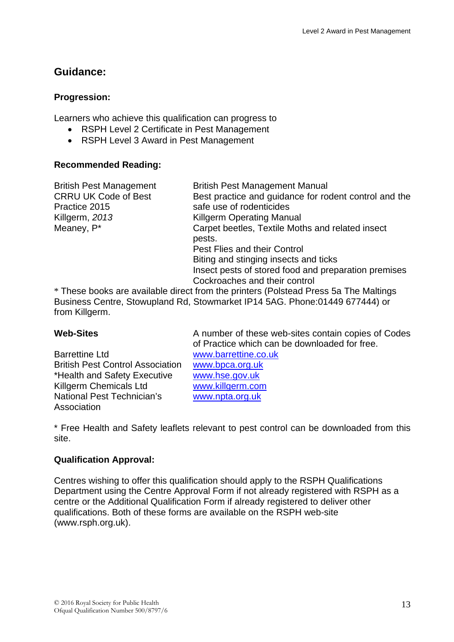## **Guidance:**

#### **Progression:**

Learners who achieve this qualification can progress to

- RSPH Level 2 Certificate in Pest Management
- RSPH Level 3 Award in Pest Management

#### **Recommended Reading:**

| <b>British Pest Management</b> | <b>British Pest Management Manual</b>                                                |
|--------------------------------|--------------------------------------------------------------------------------------|
| <b>CRRU UK Code of Best</b>    | Best practice and guidance for rodent control and the                                |
| Practice 2015                  | safe use of rodenticides                                                             |
| Killgerm, 2013                 | <b>Killgerm Operating Manual</b>                                                     |
| Meaney, P*                     | Carpet beetles, Textile Moths and related insect                                     |
|                                | pests.                                                                               |
|                                | Pest Flies and their Control                                                         |
|                                | Biting and stinging insects and ticks                                                |
|                                | Insect pests of stored food and preparation premises                                 |
|                                | Cockroaches and their control                                                        |
|                                | * These books are available direct from the printers (Polstead Press 5a The Maltings |

\* These books are available direct from the printers (Polstead Press 5a The Maltings Business Centre, Stowupland Rd, Stowmarket IP14 5AG. Phone:01449 677444) or from Killgerm.

Barrettine Ltd<br>British Pest Control Association www.bpca.org.uk British Pest Control Association \*Health and Safety Executive [www.hse.gov.uk](http://www.hse.gov.uk/) Killgerm Chemicals Ltd [www.killgerm.com](http://www.killgerm.com/) National Pest Technician's Association

**Web-Sites** A number of these web-sites contain copies of Codes of Practice which can be downloaded for free. [www.npta.org.uk](http://www.npta.org.uk/)

\* Free Health and Safety leaflets relevant to pest control can be downloaded from this site.

#### **Qualification Approval:**

Centres wishing to offer this qualification should apply to the RSPH Qualifications Department using the Centre Approval Form if not already registered with RSPH as a centre or the Additional Qualification Form if already registered to deliver other qualifications. Both of these forms are available on the RSPH web-site (www.rsph.org.uk).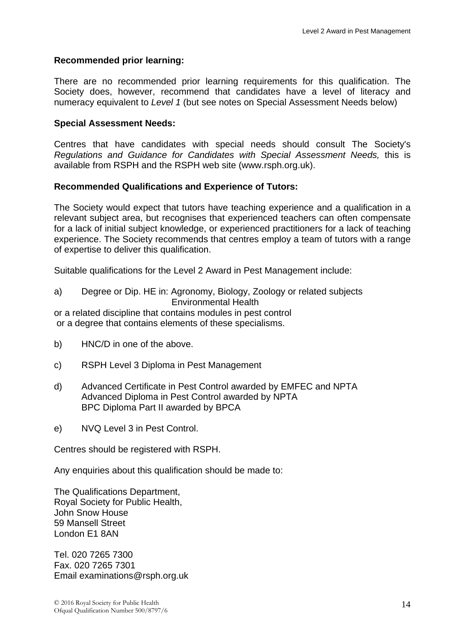#### **Recommended prior learning:**

There are no recommended prior learning requirements for this qualification. The Society does, however, recommend that candidates have a level of literacy and numeracy equivalent to *Level 1* (but see notes on Special Assessment Needs below)

#### **Special Assessment Needs:**

Centres that have candidates with special needs should consult The Society's *Regulations and Guidance for Candidates with Special Assessment Needs,* this is available from RSPH and the RSPH web site (www.rsph.org.uk).

#### **Recommended Qualifications and Experience of Tutors:**

The Society would expect that tutors have teaching experience and a qualification in a relevant subject area, but recognises that experienced teachers can often compensate for a lack of initial subject knowledge, or experienced practitioners for a lack of teaching experience. The Society recommends that centres employ a team of tutors with a range of expertise to deliver this qualification.

Suitable qualifications for the Level 2 Award in Pest Management include:

| a) | Degree or Dip. HE in: Agronomy, Biology, Zoology or related subjects |
|----|----------------------------------------------------------------------|
|    | <b>Environmental Health</b>                                          |
|    | or a rolated discipline that contains modules in post control        |

or a related discipline that contains modules in pest control or a degree that contains elements of these specialisms.

- b) HNC/D in one of the above.
- c) RSPH Level 3 Diploma in Pest Management
- d) Advanced Certificate in Pest Control awarded by EMFEC and NPTA Advanced Diploma in Pest Control awarded by NPTA BPC Diploma Part II awarded by BPCA
- e) NVQ Level 3 in Pest Control.

Centres should be registered with RSPH.

Any enquiries about this qualification should be made to:

The Qualifications Department, Royal Society for Public Health, John Snow House 59 Mansell Street London E1 8AN

Tel. 020 7265 7300 Fax. 020 7265 7301 Email examinations@rsph.org.uk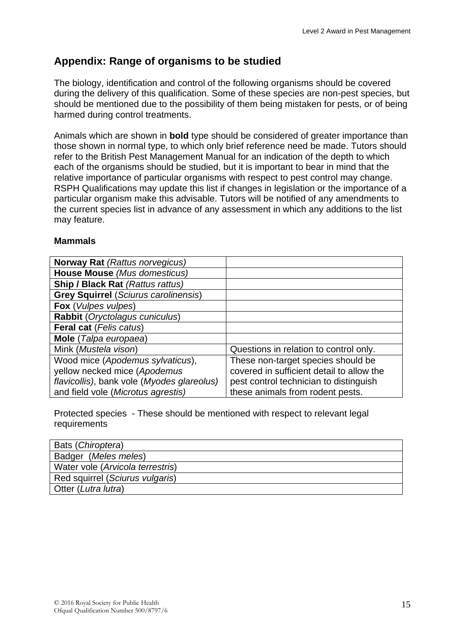## **Appendix: Range of organisms to be studied**

The biology, identification and control of the following organisms should be covered during the delivery of this qualification. Some of these species are non-pest species, but should be mentioned due to the possibility of them being mistaken for pests, or of being harmed during control treatments.

Animals which are shown in **bold** type should be considered of greater importance than those shown in normal type, to which only brief reference need be made. Tutors should refer to the British Pest Management Manual for an indication of the depth to which each of the organisms should be studied, but it is important to bear in mind that the relative importance of particular organisms with respect to pest control may change. RSPH Qualifications may update this list if changes in legislation or the importance of a particular organism make this advisable. Tutors will be notified of any amendments to the current species list in advance of any assessment in which any additions to the list may feature.

#### **Mammals**

| <b>Norway Rat (Rattus norvegicus)</b>       |                                           |
|---------------------------------------------|-------------------------------------------|
| House Mouse (Mus domesticus)                |                                           |
| <b>Ship / Black Rat (Rattus rattus)</b>     |                                           |
| <b>Grey Squirrel (Sciurus carolinensis)</b> |                                           |
| Fox (Vulpes vulpes)                         |                                           |
| Rabbit (Oryctolagus cuniculus)              |                                           |
| Feral cat (Felis catus)                     |                                           |
| Mole (Talpa europaea)                       |                                           |
| Mink (Mustela vison)                        | Questions in relation to control only.    |
| Wood mice (Apodemus sylvaticus),            | These non-target species should be        |
| yellow necked mice (Apodemus                | covered in sufficient detail to allow the |
| flavicollis), bank vole (Myodes glareolus)  | pest control technician to distinguish    |
| and field vole (Microtus agrestis)          | these animals from rodent pests.          |

Protected species - These should be mentioned with respect to relevant legal requirements

| Bats (Chiroptera)                |
|----------------------------------|
| Badger (Meles meles)             |
| Water vole (Arvicola terrestris) |
| Red squirrel (Sciurus vulgaris)  |
| Otter (Lutra lutra)              |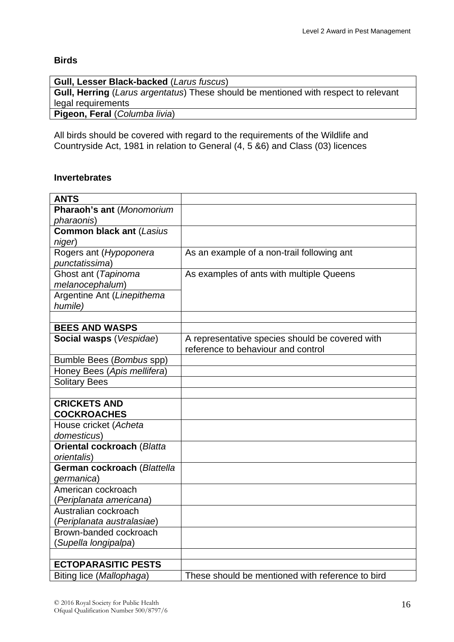#### **Birds**

| <b>Gull, Lesser Black-backed (Larus fuscus)</b>                                            |
|--------------------------------------------------------------------------------------------|
| <b>Gull, Herring</b> (Larus argentatus) These should be mentioned with respect to relevant |
| legal requirements                                                                         |
| Pigeon, Feral (Columba livia)                                                              |
|                                                                                            |

All birds should be covered with regard to the requirements of the Wildlife and Countryside Act, 1981 in relation to General (4, 5 &6) and Class (03) licences

#### **Invertebrates**

| <b>ANTS</b>                       |                                                  |
|-----------------------------------|--------------------------------------------------|
| Pharaoh's ant (Monomorium         |                                                  |
| pharaonis)                        |                                                  |
| <b>Common black ant (Lasius</b>   |                                                  |
| niger)                            |                                                  |
| Rogers ant (Hypoponera            | As an example of a non-trail following ant       |
| punctatissima)                    |                                                  |
| Ghost ant (Tapinoma               | As examples of ants with multiple Queens         |
| melanocephalum)                   |                                                  |
| Argentine Ant (Linepithema        |                                                  |
| humile)                           |                                                  |
|                                   |                                                  |
| <b>BEES AND WASPS</b>             |                                                  |
| Social wasps (Vespidae)           | A representative species should be covered with  |
|                                   | reference to behaviour and control               |
| Bumble Bees (Bombus spp)          |                                                  |
| Honey Bees (Apis mellifera)       |                                                  |
| <b>Solitary Bees</b>              |                                                  |
|                                   |                                                  |
| <b>CRICKETS AND</b>               |                                                  |
| <b>COCKROACHES</b>                |                                                  |
| House cricket (Acheta             |                                                  |
| domesticus)                       |                                                  |
| <b>Oriental cockroach (Blatta</b> |                                                  |
| orientalis)                       |                                                  |
| German cockroach (Blattella       |                                                  |
| germanica)                        |                                                  |
| American cockroach                |                                                  |
| (Periplanata americana)           |                                                  |
| Australian cockroach              |                                                  |
| (Periplanata australasiae)        |                                                  |
| Brown-banded cockroach            |                                                  |
| (Supella longipalpa)              |                                                  |
|                                   |                                                  |
| <b>ECTOPARASITIC PESTS</b>        |                                                  |
| Biting lice (Mallophaga)          | These should be mentioned with reference to bird |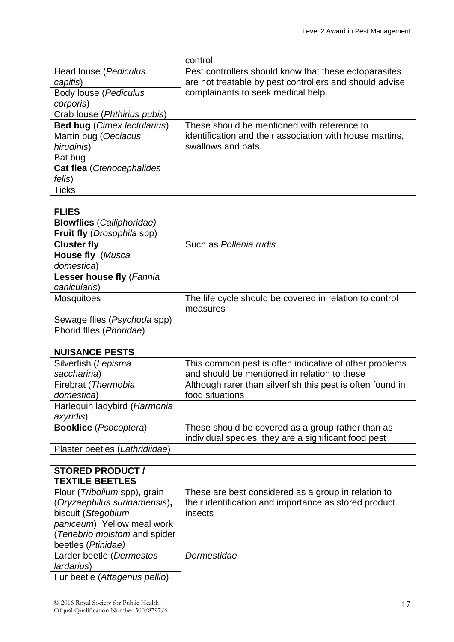| Pest controllers should know that these ectoparasites<br>Head louse (Pediculus<br>are not treatable by pest controllers and should advise<br>capitis)<br>Body louse (Pediculus<br>complainants to seek medical help.<br>corporis)<br>Crab louse (Phthirius pubis)<br><b>Bed bug (Cimex lectularius)</b><br>These should be mentioned with reference to<br>Martin bug (Oeciacus<br>identification and their association with house martins,<br>hirudinis)<br>swallows and bats.<br>Bat bug<br>Cat flea (Ctenocephalides<br>felis)<br><b>Ticks</b><br><b>FLIES</b><br><b>Blowflies</b> (Calliphoridae)<br>Fruit fly (Drosophila spp)<br><b>Cluster fly</b><br>Such as Pollenia rudis<br>House fly (Musca<br>domestica)<br>Lesser house fly (Fannia<br>canicularis)<br>The life cycle should be covered in relation to control<br><b>Mosquitoes</b><br>measures<br>Sewage flies (Psychoda spp)<br>Phorid flles (Phoridae)<br><b>NUISANCE PESTS</b><br>This common pest is often indicative of other problems<br>Silverfish (Lepisma<br>and should be mentioned in relation to these<br>saccharina)<br>Although rarer than silverfish this pest is often found in<br>Firebrat (Thermobia<br>domestica)<br>food situations<br>Harlequin ladybird (Harmonia<br>axyridis)<br><b>Booklice</b> (Psocoptera)<br>These should be covered as a group rather than as<br>individual species, they are a significant food pest<br>Plaster beetles (Lathridiidae)<br><b>STORED PRODUCT /</b><br><b>TEXTILE BEETLES</b><br>Flour (Tribolium spp), grain<br>These are best considered as a group in relation to<br>(Oryzaephilus surinamensis),<br>their identification and importance as stored product<br>biscuit (Stegobium<br>insects<br>paniceum), Yellow meal work<br>(Tenebrio molstom and spider<br>beetles (Ptinidae)<br>Dermestidae<br>Larder beetle (Dermestes<br>lardarius) |                               | control |
|-----------------------------------------------------------------------------------------------------------------------------------------------------------------------------------------------------------------------------------------------------------------------------------------------------------------------------------------------------------------------------------------------------------------------------------------------------------------------------------------------------------------------------------------------------------------------------------------------------------------------------------------------------------------------------------------------------------------------------------------------------------------------------------------------------------------------------------------------------------------------------------------------------------------------------------------------------------------------------------------------------------------------------------------------------------------------------------------------------------------------------------------------------------------------------------------------------------------------------------------------------------------------------------------------------------------------------------------------------------------------------------------------------------------------------------------------------------------------------------------------------------------------------------------------------------------------------------------------------------------------------------------------------------------------------------------------------------------------------------------------------------------------------------------------------------------------------------------------------------------------|-------------------------------|---------|
|                                                                                                                                                                                                                                                                                                                                                                                                                                                                                                                                                                                                                                                                                                                                                                                                                                                                                                                                                                                                                                                                                                                                                                                                                                                                                                                                                                                                                                                                                                                                                                                                                                                                                                                                                                                                                                                                       |                               |         |
|                                                                                                                                                                                                                                                                                                                                                                                                                                                                                                                                                                                                                                                                                                                                                                                                                                                                                                                                                                                                                                                                                                                                                                                                                                                                                                                                                                                                                                                                                                                                                                                                                                                                                                                                                                                                                                                                       |                               |         |
|                                                                                                                                                                                                                                                                                                                                                                                                                                                                                                                                                                                                                                                                                                                                                                                                                                                                                                                                                                                                                                                                                                                                                                                                                                                                                                                                                                                                                                                                                                                                                                                                                                                                                                                                                                                                                                                                       |                               |         |
|                                                                                                                                                                                                                                                                                                                                                                                                                                                                                                                                                                                                                                                                                                                                                                                                                                                                                                                                                                                                                                                                                                                                                                                                                                                                                                                                                                                                                                                                                                                                                                                                                                                                                                                                                                                                                                                                       |                               |         |
|                                                                                                                                                                                                                                                                                                                                                                                                                                                                                                                                                                                                                                                                                                                                                                                                                                                                                                                                                                                                                                                                                                                                                                                                                                                                                                                                                                                                                                                                                                                                                                                                                                                                                                                                                                                                                                                                       |                               |         |
|                                                                                                                                                                                                                                                                                                                                                                                                                                                                                                                                                                                                                                                                                                                                                                                                                                                                                                                                                                                                                                                                                                                                                                                                                                                                                                                                                                                                                                                                                                                                                                                                                                                                                                                                                                                                                                                                       |                               |         |
|                                                                                                                                                                                                                                                                                                                                                                                                                                                                                                                                                                                                                                                                                                                                                                                                                                                                                                                                                                                                                                                                                                                                                                                                                                                                                                                                                                                                                                                                                                                                                                                                                                                                                                                                                                                                                                                                       |                               |         |
|                                                                                                                                                                                                                                                                                                                                                                                                                                                                                                                                                                                                                                                                                                                                                                                                                                                                                                                                                                                                                                                                                                                                                                                                                                                                                                                                                                                                                                                                                                                                                                                                                                                                                                                                                                                                                                                                       |                               |         |
|                                                                                                                                                                                                                                                                                                                                                                                                                                                                                                                                                                                                                                                                                                                                                                                                                                                                                                                                                                                                                                                                                                                                                                                                                                                                                                                                                                                                                                                                                                                                                                                                                                                                                                                                                                                                                                                                       |                               |         |
|                                                                                                                                                                                                                                                                                                                                                                                                                                                                                                                                                                                                                                                                                                                                                                                                                                                                                                                                                                                                                                                                                                                                                                                                                                                                                                                                                                                                                                                                                                                                                                                                                                                                                                                                                                                                                                                                       |                               |         |
|                                                                                                                                                                                                                                                                                                                                                                                                                                                                                                                                                                                                                                                                                                                                                                                                                                                                                                                                                                                                                                                                                                                                                                                                                                                                                                                                                                                                                                                                                                                                                                                                                                                                                                                                                                                                                                                                       |                               |         |
|                                                                                                                                                                                                                                                                                                                                                                                                                                                                                                                                                                                                                                                                                                                                                                                                                                                                                                                                                                                                                                                                                                                                                                                                                                                                                                                                                                                                                                                                                                                                                                                                                                                                                                                                                                                                                                                                       |                               |         |
|                                                                                                                                                                                                                                                                                                                                                                                                                                                                                                                                                                                                                                                                                                                                                                                                                                                                                                                                                                                                                                                                                                                                                                                                                                                                                                                                                                                                                                                                                                                                                                                                                                                                                                                                                                                                                                                                       |                               |         |
|                                                                                                                                                                                                                                                                                                                                                                                                                                                                                                                                                                                                                                                                                                                                                                                                                                                                                                                                                                                                                                                                                                                                                                                                                                                                                                                                                                                                                                                                                                                                                                                                                                                                                                                                                                                                                                                                       |                               |         |
|                                                                                                                                                                                                                                                                                                                                                                                                                                                                                                                                                                                                                                                                                                                                                                                                                                                                                                                                                                                                                                                                                                                                                                                                                                                                                                                                                                                                                                                                                                                                                                                                                                                                                                                                                                                                                                                                       |                               |         |
|                                                                                                                                                                                                                                                                                                                                                                                                                                                                                                                                                                                                                                                                                                                                                                                                                                                                                                                                                                                                                                                                                                                                                                                                                                                                                                                                                                                                                                                                                                                                                                                                                                                                                                                                                                                                                                                                       |                               |         |
|                                                                                                                                                                                                                                                                                                                                                                                                                                                                                                                                                                                                                                                                                                                                                                                                                                                                                                                                                                                                                                                                                                                                                                                                                                                                                                                                                                                                                                                                                                                                                                                                                                                                                                                                                                                                                                                                       |                               |         |
|                                                                                                                                                                                                                                                                                                                                                                                                                                                                                                                                                                                                                                                                                                                                                                                                                                                                                                                                                                                                                                                                                                                                                                                                                                                                                                                                                                                                                                                                                                                                                                                                                                                                                                                                                                                                                                                                       |                               |         |
|                                                                                                                                                                                                                                                                                                                                                                                                                                                                                                                                                                                                                                                                                                                                                                                                                                                                                                                                                                                                                                                                                                                                                                                                                                                                                                                                                                                                                                                                                                                                                                                                                                                                                                                                                                                                                                                                       |                               |         |
|                                                                                                                                                                                                                                                                                                                                                                                                                                                                                                                                                                                                                                                                                                                                                                                                                                                                                                                                                                                                                                                                                                                                                                                                                                                                                                                                                                                                                                                                                                                                                                                                                                                                                                                                                                                                                                                                       |                               |         |
|                                                                                                                                                                                                                                                                                                                                                                                                                                                                                                                                                                                                                                                                                                                                                                                                                                                                                                                                                                                                                                                                                                                                                                                                                                                                                                                                                                                                                                                                                                                                                                                                                                                                                                                                                                                                                                                                       |                               |         |
|                                                                                                                                                                                                                                                                                                                                                                                                                                                                                                                                                                                                                                                                                                                                                                                                                                                                                                                                                                                                                                                                                                                                                                                                                                                                                                                                                                                                                                                                                                                                                                                                                                                                                                                                                                                                                                                                       |                               |         |
|                                                                                                                                                                                                                                                                                                                                                                                                                                                                                                                                                                                                                                                                                                                                                                                                                                                                                                                                                                                                                                                                                                                                                                                                                                                                                                                                                                                                                                                                                                                                                                                                                                                                                                                                                                                                                                                                       |                               |         |
|                                                                                                                                                                                                                                                                                                                                                                                                                                                                                                                                                                                                                                                                                                                                                                                                                                                                                                                                                                                                                                                                                                                                                                                                                                                                                                                                                                                                                                                                                                                                                                                                                                                                                                                                                                                                                                                                       |                               |         |
|                                                                                                                                                                                                                                                                                                                                                                                                                                                                                                                                                                                                                                                                                                                                                                                                                                                                                                                                                                                                                                                                                                                                                                                                                                                                                                                                                                                                                                                                                                                                                                                                                                                                                                                                                                                                                                                                       |                               |         |
|                                                                                                                                                                                                                                                                                                                                                                                                                                                                                                                                                                                                                                                                                                                                                                                                                                                                                                                                                                                                                                                                                                                                                                                                                                                                                                                                                                                                                                                                                                                                                                                                                                                                                                                                                                                                                                                                       |                               |         |
|                                                                                                                                                                                                                                                                                                                                                                                                                                                                                                                                                                                                                                                                                                                                                                                                                                                                                                                                                                                                                                                                                                                                                                                                                                                                                                                                                                                                                                                                                                                                                                                                                                                                                                                                                                                                                                                                       |                               |         |
|                                                                                                                                                                                                                                                                                                                                                                                                                                                                                                                                                                                                                                                                                                                                                                                                                                                                                                                                                                                                                                                                                                                                                                                                                                                                                                                                                                                                                                                                                                                                                                                                                                                                                                                                                                                                                                                                       |                               |         |
|                                                                                                                                                                                                                                                                                                                                                                                                                                                                                                                                                                                                                                                                                                                                                                                                                                                                                                                                                                                                                                                                                                                                                                                                                                                                                                                                                                                                                                                                                                                                                                                                                                                                                                                                                                                                                                                                       |                               |         |
|                                                                                                                                                                                                                                                                                                                                                                                                                                                                                                                                                                                                                                                                                                                                                                                                                                                                                                                                                                                                                                                                                                                                                                                                                                                                                                                                                                                                                                                                                                                                                                                                                                                                                                                                                                                                                                                                       |                               |         |
|                                                                                                                                                                                                                                                                                                                                                                                                                                                                                                                                                                                                                                                                                                                                                                                                                                                                                                                                                                                                                                                                                                                                                                                                                                                                                                                                                                                                                                                                                                                                                                                                                                                                                                                                                                                                                                                                       |                               |         |
|                                                                                                                                                                                                                                                                                                                                                                                                                                                                                                                                                                                                                                                                                                                                                                                                                                                                                                                                                                                                                                                                                                                                                                                                                                                                                                                                                                                                                                                                                                                                                                                                                                                                                                                                                                                                                                                                       |                               |         |
|                                                                                                                                                                                                                                                                                                                                                                                                                                                                                                                                                                                                                                                                                                                                                                                                                                                                                                                                                                                                                                                                                                                                                                                                                                                                                                                                                                                                                                                                                                                                                                                                                                                                                                                                                                                                                                                                       |                               |         |
|                                                                                                                                                                                                                                                                                                                                                                                                                                                                                                                                                                                                                                                                                                                                                                                                                                                                                                                                                                                                                                                                                                                                                                                                                                                                                                                                                                                                                                                                                                                                                                                                                                                                                                                                                                                                                                                                       |                               |         |
|                                                                                                                                                                                                                                                                                                                                                                                                                                                                                                                                                                                                                                                                                                                                                                                                                                                                                                                                                                                                                                                                                                                                                                                                                                                                                                                                                                                                                                                                                                                                                                                                                                                                                                                                                                                                                                                                       |                               |         |
|                                                                                                                                                                                                                                                                                                                                                                                                                                                                                                                                                                                                                                                                                                                                                                                                                                                                                                                                                                                                                                                                                                                                                                                                                                                                                                                                                                                                                                                                                                                                                                                                                                                                                                                                                                                                                                                                       |                               |         |
|                                                                                                                                                                                                                                                                                                                                                                                                                                                                                                                                                                                                                                                                                                                                                                                                                                                                                                                                                                                                                                                                                                                                                                                                                                                                                                                                                                                                                                                                                                                                                                                                                                                                                                                                                                                                                                                                       |                               |         |
|                                                                                                                                                                                                                                                                                                                                                                                                                                                                                                                                                                                                                                                                                                                                                                                                                                                                                                                                                                                                                                                                                                                                                                                                                                                                                                                                                                                                                                                                                                                                                                                                                                                                                                                                                                                                                                                                       |                               |         |
|                                                                                                                                                                                                                                                                                                                                                                                                                                                                                                                                                                                                                                                                                                                                                                                                                                                                                                                                                                                                                                                                                                                                                                                                                                                                                                                                                                                                                                                                                                                                                                                                                                                                                                                                                                                                                                                                       |                               |         |
|                                                                                                                                                                                                                                                                                                                                                                                                                                                                                                                                                                                                                                                                                                                                                                                                                                                                                                                                                                                                                                                                                                                                                                                                                                                                                                                                                                                                                                                                                                                                                                                                                                                                                                                                                                                                                                                                       |                               |         |
|                                                                                                                                                                                                                                                                                                                                                                                                                                                                                                                                                                                                                                                                                                                                                                                                                                                                                                                                                                                                                                                                                                                                                                                                                                                                                                                                                                                                                                                                                                                                                                                                                                                                                                                                                                                                                                                                       |                               |         |
|                                                                                                                                                                                                                                                                                                                                                                                                                                                                                                                                                                                                                                                                                                                                                                                                                                                                                                                                                                                                                                                                                                                                                                                                                                                                                                                                                                                                                                                                                                                                                                                                                                                                                                                                                                                                                                                                       |                               |         |
|                                                                                                                                                                                                                                                                                                                                                                                                                                                                                                                                                                                                                                                                                                                                                                                                                                                                                                                                                                                                                                                                                                                                                                                                                                                                                                                                                                                                                                                                                                                                                                                                                                                                                                                                                                                                                                                                       |                               |         |
|                                                                                                                                                                                                                                                                                                                                                                                                                                                                                                                                                                                                                                                                                                                                                                                                                                                                                                                                                                                                                                                                                                                                                                                                                                                                                                                                                                                                                                                                                                                                                                                                                                                                                                                                                                                                                                                                       |                               |         |
|                                                                                                                                                                                                                                                                                                                                                                                                                                                                                                                                                                                                                                                                                                                                                                                                                                                                                                                                                                                                                                                                                                                                                                                                                                                                                                                                                                                                                                                                                                                                                                                                                                                                                                                                                                                                                                                                       |                               |         |
|                                                                                                                                                                                                                                                                                                                                                                                                                                                                                                                                                                                                                                                                                                                                                                                                                                                                                                                                                                                                                                                                                                                                                                                                                                                                                                                                                                                                                                                                                                                                                                                                                                                                                                                                                                                                                                                                       |                               |         |
|                                                                                                                                                                                                                                                                                                                                                                                                                                                                                                                                                                                                                                                                                                                                                                                                                                                                                                                                                                                                                                                                                                                                                                                                                                                                                                                                                                                                                                                                                                                                                                                                                                                                                                                                                                                                                                                                       |                               |         |
|                                                                                                                                                                                                                                                                                                                                                                                                                                                                                                                                                                                                                                                                                                                                                                                                                                                                                                                                                                                                                                                                                                                                                                                                                                                                                                                                                                                                                                                                                                                                                                                                                                                                                                                                                                                                                                                                       | Fur beetle (Attagenus pellio) |         |